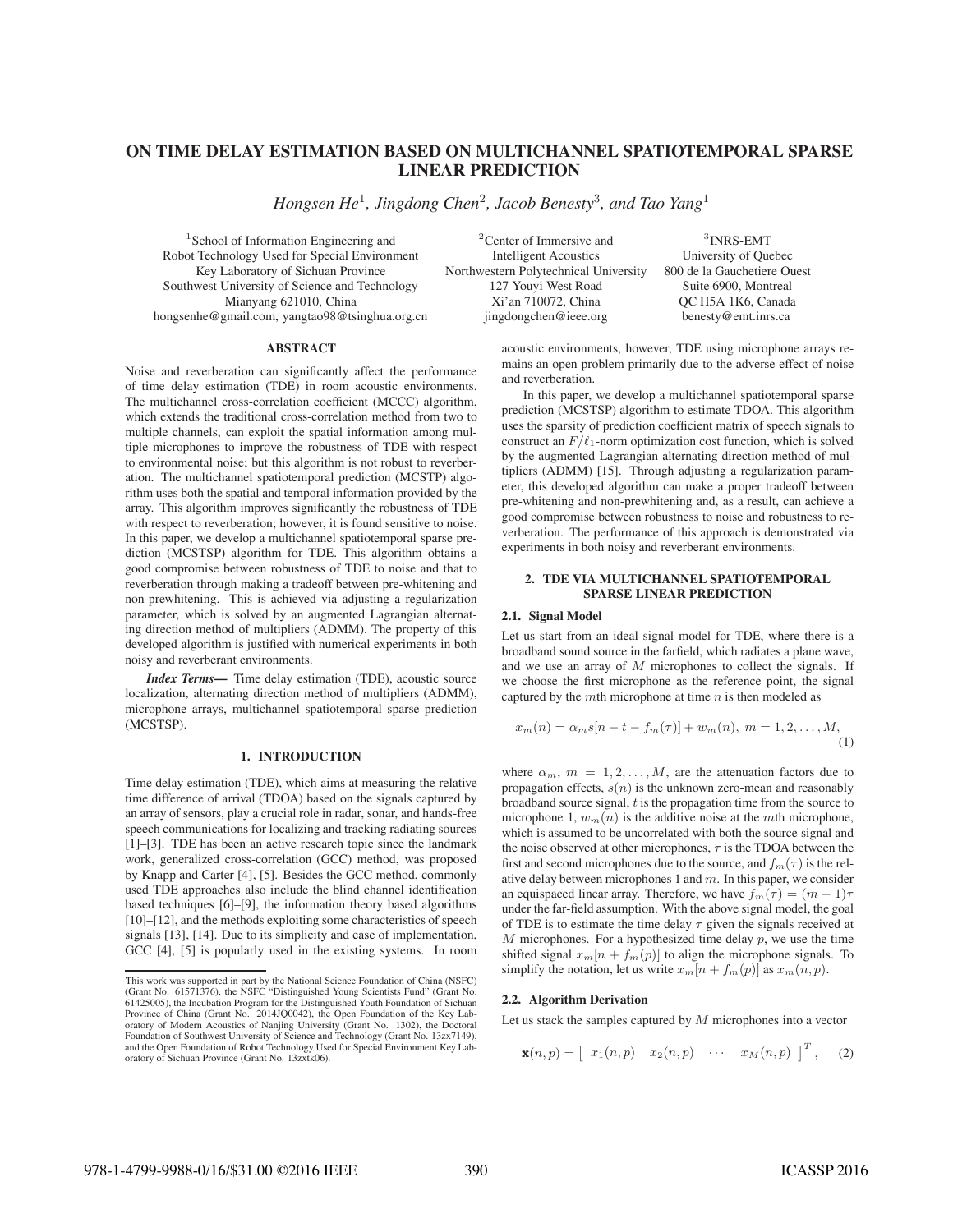# **ON TIME DELAY ESTIMATION BASED ON MULTICHANNEL SPATIOTEMPORAL SPARSE LINEAR PREDICTION**

*Hongsen He*<sup>1</sup>*, Jingdong Chen*<sup>2</sup>*, Jacob Benesty*<sup>3</sup>*, and Tao Yang*<sup>1</sup>

Robot Technology Used for Special Environment

#### **ABSTRACT**

Noise and reverberation can significantly affect the performance of time delay estimation (TDE) in room acoustic environments. The multichannel cross-correlation coefficient (MCCC) algorithm, which extends the traditional cross-correlation method from two to multiple channels, can exploit the spatial information among multiple microphones to improve the robustness of TDE with respect to environmental noise; but this algorithm is not robust to reverberation. The multichannel spatiotemporal prediction (MCSTP) algorithm uses both the spatial and temporal information provided by the array. This algorithm improves significantly the robustness of TDE with respect to reverberation; however, it is found sensitive to noise. In this paper, we develop a multichannel spatiotemporal sparse prediction (MCSTSP) algorithm for TDE. This algorithm obtains a good compromise between robustness of TDE to noise and that to reverberation through making a tradeoff between pre-whitening and non-prewhitening. This is achieved via adjusting a regularization parameter, which is solved by an augmented Lagrangian alternating direction method of multipliers (ADMM). The property of this developed algorithm is justified with numerical experiments in both noisy and reverberant environments.

*Index Terms***—** Time delay estimation (TDE), acoustic source localization, alternating direction method of multipliers (ADMM), microphone arrays, multichannel spatiotemporal sparse prediction (MCSTSP).

# **1. INTRODUCTION**

Time delay estimation (TDE), which aims at measuring the relative time difference of arrival (TDOA) based on the signals captured by an array of sensors, play a crucial role in radar, sonar, and hands-free speech communications for localizing and tracking radiating sources [1]–[3]. TDE has been an active research topic since the landmark work, generalized cross-correlation (GCC) method, was proposed by Knapp and Carter [4], [5]. Besides the GCC method, commonly used TDE approaches also include the blind channel identification based techniques [6]–[9], the information theory based algorithms [10]–[12], and the methods exploiting some characteristics of speech signals [13], [14]. Due to its simplicity and ease of implementation, GCC [4], [5] is popularly used in the existing systems. In room

<sup>1</sup>School of Information Engineering and <sup>2</sup>Center of Immersive and <sup>3</sup>INRS-EMT of Technology Used for Special Environment Intelligent Acoustics University of Quebec Key Laboratory of Sichuan Province Northwestern Polytechnical University 800 de la Gauchetiere Ouest Southwest University of Science and Technology 127 Youyi West Road Suite 6900, Montreal Mianyang 621010. China  $Xi$ 'an 710072. China OC H5A 1K6. Canada Mianyang 621010, China Xi'an 710072, China QC H5A 1K6, Canada hongsenhe@gmail.com, yangtao98@tsinghua.org.cn jingdongchen@ieee.org benesty@emt.inrs.ca

> acoustic environments, however, TDE using microphone arrays remains an open problem primarily due to the adverse effect of noise and reverberation.

> In this paper, we develop a multichannel spatiotemporal sparse prediction (MCSTSP) algorithm to estimate TDOA. This algorithm uses the sparsity of prediction coefficient matrix of speech signals to construct an  $F/\ell_1$ -norm optimization cost function, which is solved by the augmented Lagrangian alternating direction method of multipliers (ADMM) [15]. Through adjusting a regularization parameter, this developed algorithm can make a proper tradeoff between pre-whitening and non-prewhitening and, as a result, can achieve a good compromise between robustness to noise and robustness to reverberation. The performance of this approach is demonstrated via experiments in both noisy and reverberant environments.

## **2. TDE VIA MULTICHANNEL SPATIOTEMPORAL SPARSE LINEAR PREDICTION**

#### **2.1. Signal Model**

Let us start from an ideal signal model for TDE, where there is a broadband sound source in the farfield, which radiates a plane wave, and we use an array of  $M$  microphones to collect the signals. If we choose the first microphone as the reference point, the signal captured by the mth microphone at time  $n$  is then modeled as

$$
x_m(n) = \alpha_m s[n - t - f_m(\tau)] + w_m(n), \ m = 1, 2, ..., M,
$$
\n(1)

where  $\alpha_m$ ,  $m = 1, 2, \dots, M$ , are the attenuation factors due to propagation effects,  $s(n)$  is the unknown zero-mean and reasonably broadband source signal,  $t$  is the propagation time from the source to microphone 1,  $w_m(n)$  is the additive noise at the mth microphone, which is assumed to be uncorrelated with both the source signal and the noise observed at other microphones,  $\tau$  is the TDOA between the first and second microphones due to the source, and  $f_m(\tau)$  is the relative delay between microphones 1 and  $m$ . In this paper, we consider an equispaced linear array. Therefore, we have  $f_m(\tau)=(m-1)\tau$ under the far-field assumption. With the above signal model, the goal of TDE is to estimate the time delay  $\tau$  given the signals received at  $M$  microphones. For a hypothesized time delay  $p$ , we use the time shifted signal  $x_m[n + f_m(p)]$  to align the microphone signals. To simplify the notation, let us write  $x_m[n + f_m(p)]$  as  $x_m(n, p)$ .

# **2.2. Algorithm Derivation**

Let us stack the samples captured by  $M$  microphones into a vector

$$
\mathbf{x}(n,p) = \begin{bmatrix} x_1(n,p) & x_2(n,p) & \cdots & x_M(n,p) \end{bmatrix}^T, \quad (2)
$$

This work was supported in part by the National Science Foundation of China (NSFC) (Grant No. 61571376), the NSFC "Distinguished Young Scientists Fund" (Grant No. 61425005), the Incubation Program for the Distinguished Youth Foundation of Sichuan Province of China (Grant No. 2014JQ0042), the Open Foundation of the Key Laboratory of Modern Acoustics of Nanjing University (Grant No. 1302), the Doctoral Foundation of Southwest University of Science and Technology (Grant No. 13zx7149), and the Open Foundation of Robot Technology Used for Special Environment Key Laboratory of Sichuan Province (Grant No. 13zxtk06).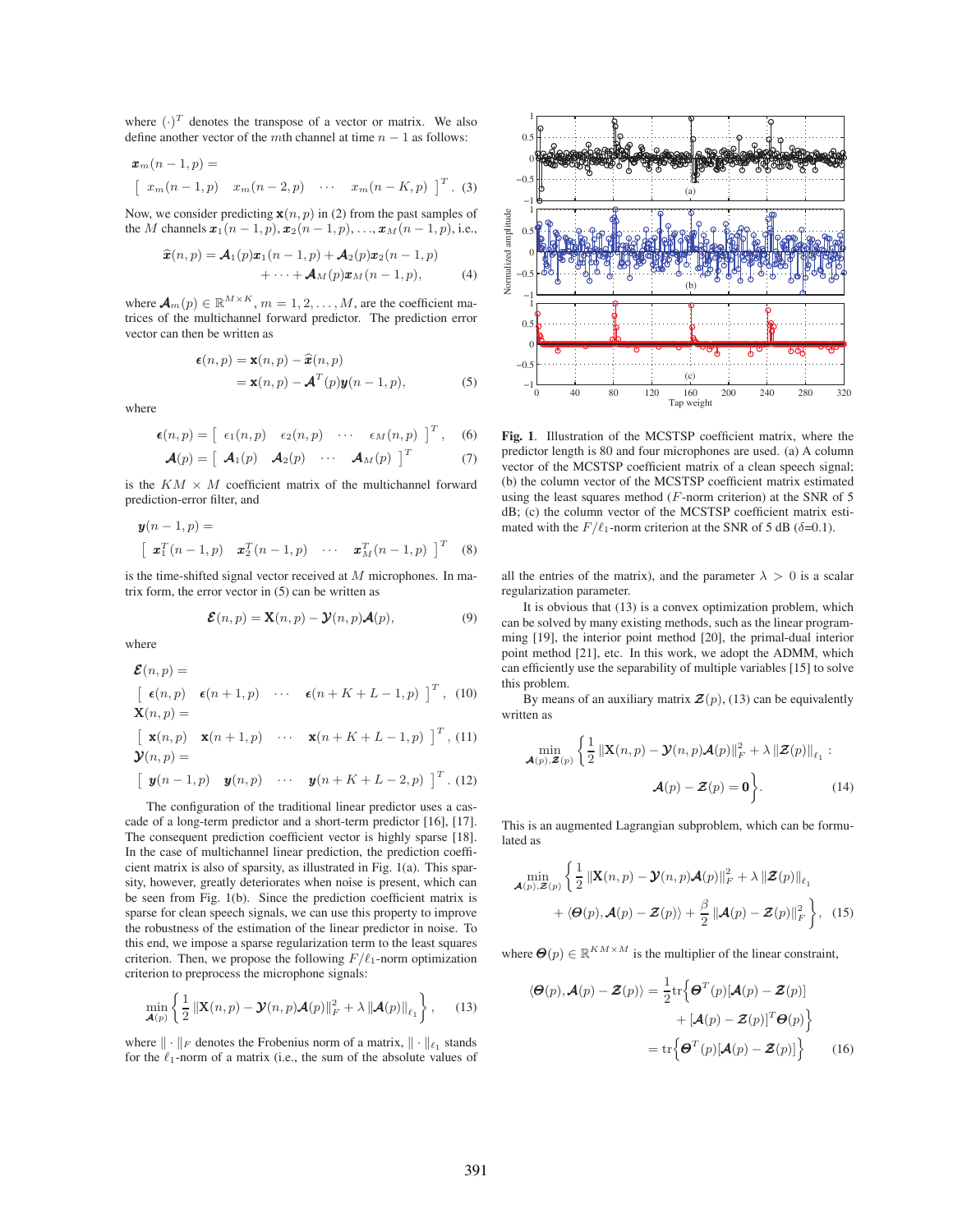where  $(\cdot)^T$  denotes the transpose of a vector or matrix. We also<br>define another vector of the *m*th channel at time  $n - 1$  as follows: define another vector of the mth channel at time  $n - 1$  as follows:

$$
\mathbf{x}_{m}(n-1,p) =
$$

$$
\begin{bmatrix} x_{m}(n-1,p) & x_{m}(n-2,p) & \cdots & x_{m}(n-K,p) \end{bmatrix}^{T}.
$$
 (3)

Now, we consider predicting  $\mathbf{x}(n, p)$  in (2) from the past samples of the M channels  $x_1(n-1, p), x_2(n-1, p), \ldots, x_M(n-1, p)$ , i.e.,

$$
\widehat{\boldsymbol{x}}(n,p) = \boldsymbol{\mathcal{A}}_1(p)\boldsymbol{x}_1(n-1,p) + \boldsymbol{\mathcal{A}}_2(p)\boldsymbol{x}_2(n-1,p) + \cdots + \boldsymbol{\mathcal{A}}_M(p)\boldsymbol{x}_M(n-1,p),
$$
 (4)

where  $\mathbf{\mathcal{A}}_m(p) \in \mathbb{R}^{M \times K}$ ,  $m = 1, 2, ..., M$ , are the coefficient matrices of the multichannel forward predictor. The prediction error vector can then be written as

$$
\epsilon(n,p) = \mathbf{x}(n,p) - \hat{\mathbf{x}}(n,p)
$$
  
=  $\mathbf{x}(n,p) - \mathbf{A}^T(p)\mathbf{y}(n-1,p),$  (5)

where

$$
\epsilon(n,p) = \begin{bmatrix} \epsilon_1(n,p) & \epsilon_2(n,p) & \cdots & \epsilon_M(n,p) \end{bmatrix}^T, \quad (6)
$$

$$
\mathcal{A}(p) = \begin{bmatrix} \mathcal{A}_1(p) & \mathcal{A}_2(p) & \cdots & \mathcal{A}_M(p) \end{bmatrix}^T \quad (7)
$$

is the  $KM \times M$  coefficient matrix of the multichannel forward prediction-error filter, and

$$
\mathbf{y}(n-1,p) = \begin{bmatrix} \mathbf{x}_1^T(n-1,p) & \mathbf{x}_2^T(n-1,p) & \cdots & \mathbf{x}_M^T(n-1,p) \end{bmatrix}^T
$$
 (8)

is the time-shifted signal vector received at  $M$  microphones. In matrix form, the error vector in (5) can be written as

$$
\mathcal{E}(n, p) = \mathbf{X}(n, p) - \mathcal{Y}(n, p)\mathcal{A}(p),
$$
\n(9)

where

$$
\mathcal{E}(n, p) = \begin{bmatrix} \epsilon(n, p) & \epsilon(n+1, p) & \cdots & \epsilon(n+K+L-1, p) \end{bmatrix}^T, (10)
$$
  
\n
$$
\mathbf{X}(n, p) = \begin{bmatrix} \mathbf{x}(n, p) & \mathbf{x}(n+1, p) & \cdots & \mathbf{x}(n+K+L-1, p) \end{bmatrix}^T, (11)
$$
  
\n
$$
\mathbf{y}(n, p) = \begin{bmatrix} \mathbf{y}(n-1, p) & \mathbf{y}(n, p) & \cdots & \mathbf{y}(n+K+L-2, p) \end{bmatrix}^T.
$$
 (12)

The configuration of the traditional linear predictor uses a cascade of a long-term predictor and a short-term predictor [16], [17]. The consequent prediction coefficient vector is highly sparse [18]. In the case of multichannel linear prediction, the prediction coefficient matrix is also of sparsity, as illustrated in Fig. 1(a). This sparsity, however, greatly deteriorates when noise is present, which can be seen from Fig.  $1(b)$ . Since the prediction coefficient matrix is sparse for clean speech signals, we can use this property to improve the robustness of the estimation of the linear predictor in noise. To this end, we impose a sparse regularization term to the least squares criterion. Then, we propose the following  $F/\ell_1$ -norm optimization criterion to preprocess the microphone signals:

$$
\min_{\mathbf{A}(p)} \left\{ \frac{1}{2} \left\| \mathbf{X}(n, p) - \mathbf{\mathcal{Y}}(n, p) \mathbf{\mathcal{A}}(p) \right\|_F^2 + \lambda \left\| \mathbf{\mathcal{A}}(p) \right\|_{\ell_1} \right\},\qquad(13)
$$

where  $\|\cdot\|_F$  denotes the Frobenius norm of a matrix,  $\|\cdot\|_{\ell_1}$  stands for the  $\ell_1$ -norm of a matrix (i.e., the sum of the absolute values of



Fig. 1. Illustration of the MCSTSP coefficient matrix, where the predictor length is 80 and four microphones are used. (a) A column vector of the MCSTSP coefficient matrix of a clean speech signal; (b) the column vector of the MCSTSP coefficient matrix estimated using the least squares method (F-norm criterion) at the SNR of 5 dB; (c) the column vector of the MCSTSP coefficient matrix estimated with the  $F/\ell_1$ -norm criterion at the SNR of 5 dB ( $\delta$ =0.1).

all the entries of the matrix), and the parameter  $\lambda > 0$  is a scalar regularization parameter.

It is obvious that (13) is a convex optimization problem, which can be solved by many existing methods, such as the linear programming [19], the interior point method [20], the primal-dual interior point method [21], etc. In this work, we adopt the ADMM, which can efficiently use the separability of multiple variables [15] to solve this problem.

By means of an auxiliary matrix  $\mathcal{Z}(p)$ , (13) can be equivalently written as

$$
\min_{\mathbf{\mathcal{A}}(p),\mathbf{\mathcal{Z}}(p)} \left\{ \frac{1}{2} \left\| \mathbf{X}(n,p) - \mathbf{\mathcal{Y}}(n,p) \mathbf{\mathcal{A}}(p) \right\|_{F}^{2} + \lambda \left\| \mathbf{\mathcal{Z}}(p) \right\|_{\ell_{1}} : \mathbf{\mathcal{A}}(p) - \mathbf{\mathcal{Z}}(p) = \mathbf{0} \right\}.
$$
\n(14)

This is an augmented Lagrangian subproblem, which can be formulated as

$$
\min_{\mathbf{\mathcal{A}}(p),\mathbf{\mathcal{Z}}(p)} \left\{ \frac{1}{2} \left\| \mathbf{X}(n,p) - \mathbf{\mathcal{Y}}(n,p) \mathbf{\mathcal{A}}(p) \right\|_{F}^{2} + \lambda \left\| \mathbf{\mathcal{Z}}(p) \right\|_{\ell_{1}} \right.+ \left\langle \mathbf{\Theta}(p), \mathbf{\mathcal{A}}(p) - \mathbf{\mathcal{Z}}(p) \right\rangle + \frac{\beta}{2} \left\| \mathbf{\mathcal{A}}(p) - \mathbf{\mathcal{Z}}(p) \right\|_{F}^{2} \left\}, \quad (15)
$$

where  $\Theta(p) \in \mathbb{R}^{KM \times M}$  is the multiplier of the linear constraint,

$$
\langle \boldsymbol{\Theta}(p), \boldsymbol{\mathcal{A}}(p) - \boldsymbol{\mathcal{Z}}(p) \rangle = \frac{1}{2} \text{tr} \Big\{ \boldsymbol{\Theta}^T(p) [\boldsymbol{\mathcal{A}}(p) - \boldsymbol{\mathcal{Z}}(p)] + [\boldsymbol{\mathcal{A}}(p) - \boldsymbol{\mathcal{Z}}(p)]^T \boldsymbol{\Theta}(p) \Big\} \\
= \text{tr} \Big\{ \boldsymbol{\Theta}^T(p) [\boldsymbol{\mathcal{A}}(p) - \boldsymbol{\mathcal{Z}}(p)] \Big\} \tag{16}
$$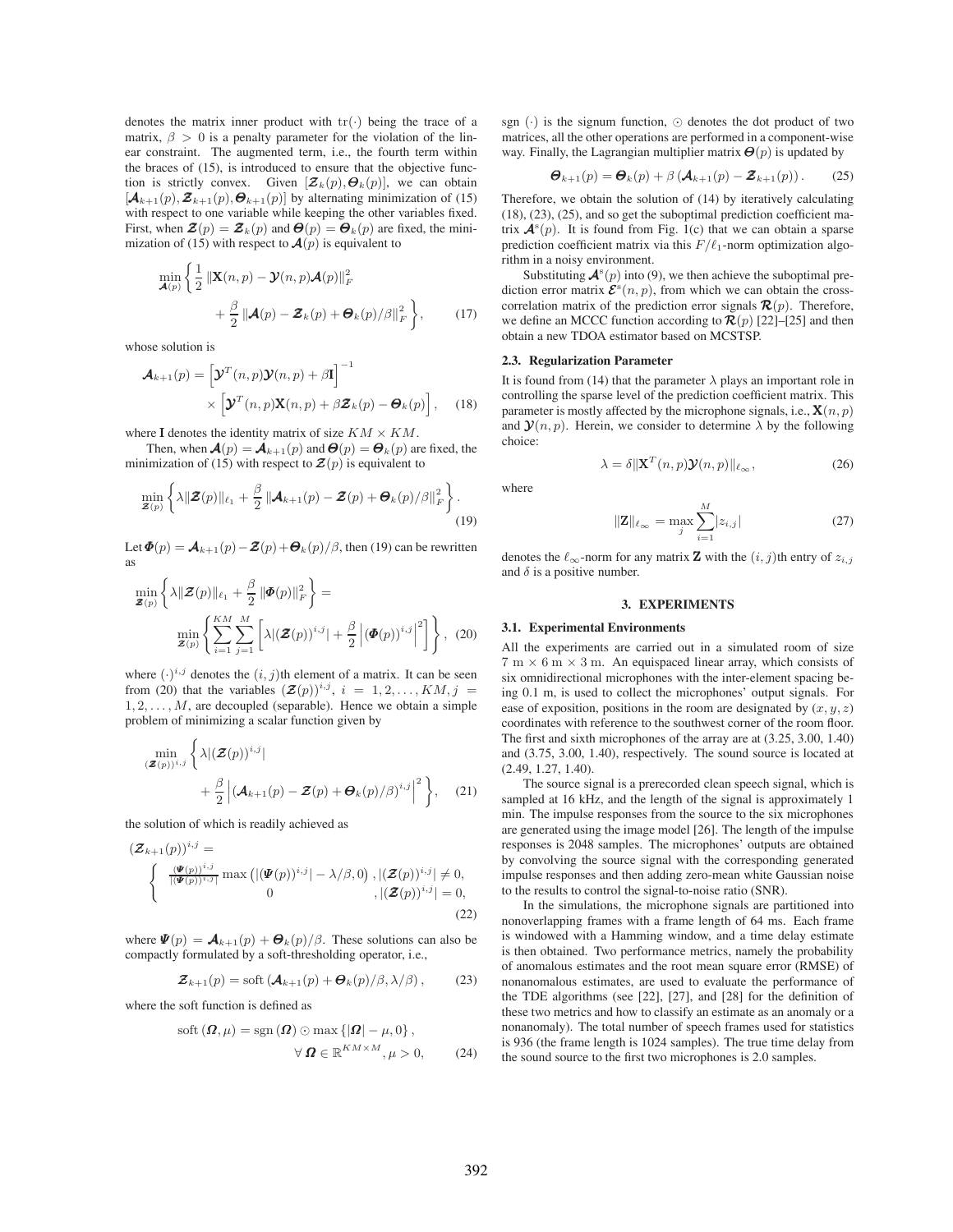denotes the matrix inner product with  $tr(\cdot)$  being the trace of a matrix,  $\beta > 0$  is a penalty parameter for the violation of the linear constraint. The augmented term, i.e., the fourth term within the braces of (15), is introduced to ensure that the objective function is strictly convex. Given  $[\mathbf{Z}_k(p), \Theta_k(p)]$ , we can obtain  $[\mathcal{A}_{k+1}(p), \mathcal{Z}_{k+1}(p), \Theta_{k+1}(p)]$  by alternating minimization of (15) with respect to one variable while keeping the other variables fixed. First, when  $\mathbf{Z}(p) = \mathbf{Z}_k(p)$  and  $\mathbf{\Theta}(p) = \mathbf{\Theta}_k(p)$  are fixed, the minimization of (15) with respect to  $\mathcal{A}(p)$  is equivalent to

$$
\min_{\mathbf{A}(p)} \left\{ \frac{1}{2} \left\| \mathbf{X}(n, p) - \mathbf{\mathcal{Y}}(n, p) \mathbf{\mathcal{A}}(p) \right\|_F^2 + \frac{\beta}{2} \left\| \mathbf{\mathcal{A}}(p) - \mathbf{\mathcal{Z}}_k(p) + \mathbf{\Theta}_k(p) / \beta \right\|_F^2 \right\},\tag{17}
$$

whose solution is

$$
\mathcal{A}_{k+1}(p) = \left[\mathcal{Y}^T(n, p)\mathcal{Y}(n, p) + \beta \mathbf{I}\right]^{-1} \times \left[\mathcal{Y}^T(n, p)\mathbf{X}(n, p) + \beta \mathcal{Z}_k(p) - \mathcal{O}_k(p)\right], \quad (18)
$$

where **I** denotes the identity matrix of size  $KM \times KM$ .

Then, when  $\mathcal{A}(p) = \mathcal{A}_{k+1}(p)$  and  $\mathcal{A}(p) = \mathcal{A}_k(p)$  are fixed, the minimization of (15) with respect to  $\mathbf{Z}(p)$  is equivalent to

$$
\min_{\boldsymbol{\mathcal{Z}}(p)} \left\{ \lambda \|\boldsymbol{\mathcal{Z}}(p)\|_{\ell_1} + \frac{\beta}{2} \left\| \boldsymbol{\mathcal{A}}_{k+1}(p) - \boldsymbol{\mathcal{Z}}(p) + \boldsymbol{\Theta}_k(p) / \beta \right\|_F^2 \right\}.
$$
\n(19)

Let  $\mathbf{\Phi}(p) = \mathbf{\mathcal{A}}_{k+1}(p) - \mathbf{\mathcal{Z}}(p) + \mathbf{\Theta}_k(p)/\beta$ , then (19) can be rewritten as

$$
\min_{\mathbf{Z}(p)} \left\{ \lambda \|\mathbf{Z}(p)\|_{\ell_1} + \frac{\beta}{2} \|\mathbf{\Phi}(p)\|_F^2 \right\} =
$$
\n
$$
\min_{\mathbf{Z}(p)} \left\{ \sum_{i=1}^{KM} \sum_{j=1}^M \left[ \lambda \|\mathbf{Z}(p)\right)^{i,j} + \frac{\beta}{2} \left| (\mathbf{\Phi}(p))^{i,j} \right|^2 \right] \right\}, \tag{20}
$$

where  $(\cdot)^{i,j}$  denotes the  $(i,j)$ th element of a matrix. It can be seen<br>from (20) that the variables  $(Z(n))^{i,j}$   $i = 1, 2, \ldots, K M, i =$ from (20) that the variables  $(\mathcal{Z}(p))^{i,j}$ ,  $i = 1, 2, \ldots, KM, j =$  $1, 2, \ldots, M$ , are decoupled (separable). Hence we obtain a simple problem of minimizing a scalar function given by

$$
\min_{(\boldsymbol{z}(p))^{i,j}} \left\{ \lambda | (\boldsymbol{z}(p))^{i,j} | \right. \\ \left. + \frac{\beta}{2} \left| (\boldsymbol{\mathcal{A}}_{k+1}(p) - \boldsymbol{z}(p) + \boldsymbol{\Theta}_k(p) / \beta)^{i,j} \right|^2 \right\}, \quad (21)
$$

the solution of which is readily achieved as

$$
\begin{aligned}\n\left(\mathbf{Z}_{k+1}(p)\right)^{i,j} &=\\ \begin{cases}\n\frac{\left(\mathbf{\Psi}(p)\right)^{i,j}}{\left|\left(\mathbf{\Psi}(p)\right)^{i,j}\right|}\max\left(\left|\left(\mathbf{\Psi}(p)\right)^{i,j}\right|-\lambda/\beta,0\right),\left|\left(\mathbf{Z}(p)\right)^{i,j}\right|\neq 0,\\
0, &\quad,\left|\left(\mathbf{Z}(p)\right)^{i,j}\right|=0,\n\end{cases}\n\end{aligned} \tag{22}
$$

where  $\Psi(p) = \mathcal{A}_{k+1}(p) + \mathcal{A}_k(p)/\beta$ . These solutions can also be compactly formulated by a soft-thresholding operator, i.e.,

$$
\mathcal{Z}_{k+1}(p) = \operatorname{soft}(\mathcal{A}_{k+1}(p) + \mathcal{O}_k(p)/\beta, \lambda/\beta), \qquad (23)
$$

where the soft function is defined as

$$
soft (\boldsymbol{\Omega}, \mu) = sgn (\boldsymbol{\Omega}) \odot max \{ |\boldsymbol{\Omega}| - \mu, 0 \},
$$
  

$$
\forall \boldsymbol{\Omega} \in \mathbb{R}^{KM \times M}, \mu > 0,
$$
 (24)

sgn  $(\cdot)$  is the signum function,  $\odot$  denotes the dot product of two matrices, all the other operations are performed in a component-wise way. Finally, the Lagrangian multiplier matrix  $\Theta(p)$  is updated by

$$
\boldsymbol{\Theta}_{k+1}(p) = \boldsymbol{\Theta}_k(p) + \beta \left(\boldsymbol{\mathcal{A}}_{k+1}(p) - \boldsymbol{\mathcal{Z}}_{k+1}(p)\right). \tag{25}
$$

Therefore, we obtain the solution of (14) by iteratively calculating  $(18)$ ,  $(23)$ ,  $(25)$ , and so get the suboptimal prediction coefficient matrix  $\mathbf{A}^s(p)$ . It is found from Fig. 1(c) that we can obtain a sparse<br>prediction coefficient matrix via this  $F/\ell_{1-}$  porm optimization algoprediction coefficient matrix via this  $F/\ell_1$ -norm optimization algorithm in a noisy environment.

Substituting  $\mathcal{A}^s(p)$  into (9), we then achieve the suboptimal pre-<br>ion error matrix  $\mathcal{F}^s(p, p)$  from which we can obtain the crossdiction error matrix  $\mathcal{E}^{s}(n, p)$ , from which we can obtain the cross-<br>correlation matrix of the prediction error signals  $\mathcal{R}(n)$ . Therefore correlation matrix of the prediction error signals  $\mathcal{R}(p)$ . Therefore, we define an MCCC function according to  $\mathcal{R}(p)$  [22]–[25] and then obtain a new TDOA estimator based on MCSTSP.

# **2.3. Regularization Parameter**

It is found from (14) that the parameter  $\lambda$  plays an important role in controlling the sparse level of the prediction coefficient matrix. This parameter is mostly affected by the microphone signals, i.e.,  $\mathbf{X}(n, p)$ and  $\mathcal{Y}(n, p)$ . Herein, we consider to determine  $\lambda$  by the following choice:

$$
\lambda = \delta \|\mathbf{X}^{T}(n, p)\mathbf{Y}(n, p)\|_{\ell_{\infty}},
$$
\n(26)

where

$$
\|\mathbf{Z}\|_{\ell_{\infty}} = \max_{j} \sum_{i=1}^{M} |z_{i,j}| \tag{27}
$$

denotes the  $\ell_{\infty}$ -norm for any matrix **Z** with the  $(i, j)$ th entry of  $z_{i,j}$ <br>and  $\delta$  is a positive number and  $\delta$  is a positive number.

#### **3. EXPERIMENTS**

#### **3.1. Experimental Environments**

All the experiments are carried out in a simulated room of size  $7 \text{ m} \times 6 \text{ m} \times 3 \text{ m}$ . An equispaced linear array, which consists of six omnidirectional microphones with the inter-element spacing being 0.1 m, is used to collect the microphones' output signals. For ease of exposition, positions in the room are designated by  $(x, y, z)$ coordinates with reference to the southwest corner of the room floor. The first and sixth microphones of the array are at  $(3.25, 3.00, 1.40)$ and (3.75, 3.00, 1.40), respectively. The sound source is located at (2.49, 1.27, 1.40).

The source signal is a prerecorded clean speech signal, which is sampled at 16 kHz, and the length of the signal is approximately 1 min. The impulse responses from the source to the six microphones are generated using the image model [26]. The length of the impulse responses is 2048 samples. The microphones' outputs are obtained by convolving the source signal with the corresponding generated impulse responses and then adding zero-mean white Gaussian noise to the results to control the signal-to-noise ratio (SNR).

In the simulations, the microphone signals are partitioned into nonoverlapping frames with a frame length of 64 ms. Each frame is windowed with a Hamming window, and a time delay estimate is then obtained. Two performance metrics, namely the probability of anomalous estimates and the root mean square error (RMSE) of nonanomalous estimates, are used to evaluate the performance of the TDE algorithms (see  $[22]$ ,  $[27]$ , and  $[28]$  for the definition of these two metrics and how to classify an estimate as an anomaly or a nonanomaly). The total number of speech frames used for statistics is 936 (the frame length is 1024 samples). The true time delay from the sound source to the first two microphones is 2.0 samples.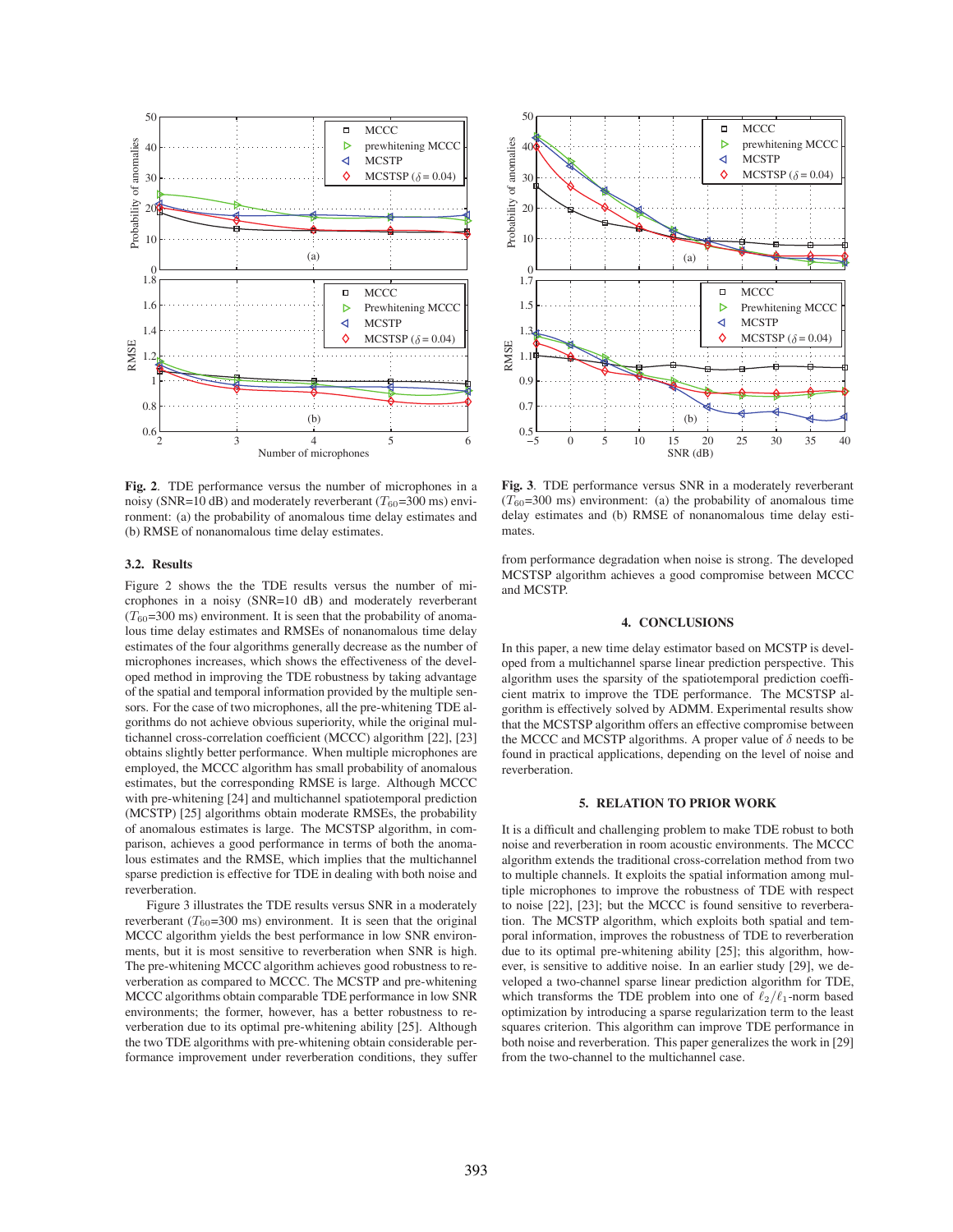

**Fig. 2**. TDE performance versus the number of microphones in a noisy (SNR=10 dB) and moderately reverberant ( $T_{60}$ =300 ms) environment: (a) the probability of anomalous time delay estimates and (b) RMSE of nonanomalous time delay estimates.

# **3.2. Results**

Figure 2 shows the the TDE results versus the number of microphones in a noisy (SNR=10 dB) and moderately reverberant  $(T_{60}=300 \text{ ms})$  environment. It is seen that the probability of anomalous time delay estimates and RMSEs of nonanomalous time delay estimates of the four algorithms generally decrease as the number of microphones increases, which shows the effectiveness of the developed method in improving the TDE robustness by taking advantage of the spatial and temporal information provided by the multiple sensors. For the case of two microphones, all the pre-whitening TDE algorithms do not achieve obvious superiority, while the original multichannel cross-correlation coefficient (MCCC) algorithm [22], [23] obtains slightly better performance. When multiple microphones are employed, the MCCC algorithm has small probability of anomalous estimates, but the corresponding RMSE is large. Although MCCC with pre-whitening [24] and multichannel spatiotemporal prediction (MCSTP) [25] algorithms obtain moderate RMSEs, the probability of anomalous estimates is large. The MCSTSP algorithm, in comparison, achieves a good performance in terms of both the anomalous estimates and the RMSE, which implies that the multichannel sparse prediction is effective for TDE in dealing with both noise and reverberation.

Figure 3 illustrates the TDE results versus SNR in a moderately reverberant ( $T_{60}$ =300 ms) environment. It is seen that the original MCCC algorithm yields the best performance in low SNR environments, but it is most sensitive to reverberation when SNR is high. The pre-whitening MCCC algorithm achieves good robustness to reverberation as compared to MCCC. The MCSTP and pre-whitening MCCC algorithms obtain comparable TDE performance in low SNR environments; the former, however, has a better robustness to reverberation due to its optimal pre-whitening ability [25]. Although the two TDE algorithms with pre-whitening obtain considerable performance improvement under reverberation conditions, they suffer



**Fig. 3**. TDE performance versus SNR in a moderately reverberant  $(T_{60}=300 \text{ ms})$  environment: (a) the probability of anomalous time delay estimates and (b) RMSE of nonanomalous time delay estimates.

from performance degradation when noise is strong. The developed MCSTSP algorithm achieves a good compromise between MCCC and MCSTP.

# **4. CONCLUSIONS**

In this paper, a new time delay estimator based on MCSTP is developed from a multichannel sparse linear prediction perspective. This algorithm uses the sparsity of the spatiotemporal prediction coefficient matrix to improve the TDE performance. The MCSTSP algorithm is effectively solved by ADMM. Experimental results show that the MCSTSP algorithm offers an effective compromise between the MCCC and MCSTP algorithms. A proper value of  $\delta$  needs to be found in practical applications, depending on the level of noise and reverberation.

#### **5. RELATION TO PRIOR WORK**

It is a difficult and challenging problem to make TDE robust to both noise and reverberation in room acoustic environments. The MCCC algorithm extends the traditional cross-correlation method from two to multiple channels. It exploits the spatial information among multiple microphones to improve the robustness of TDE with respect to noise [22], [23]; but the MCCC is found sensitive to reverberation. The MCSTP algorithm, which exploits both spatial and temporal information, improves the robustness of TDE to reverberation due to its optimal pre-whitening ability [25]; this algorithm, however, is sensitive to additive noise. In an earlier study [29], we developed a two-channel sparse linear prediction algorithm for TDE, which transforms the TDE problem into one of  $\ell_2/\ell_1$ -norm based optimization by introducing a sparse regularization term to the least squares criterion. This algorithm can improve TDE performance in both noise and reverberation. This paper generalizes the work in [29] from the two-channel to the multichannel case.